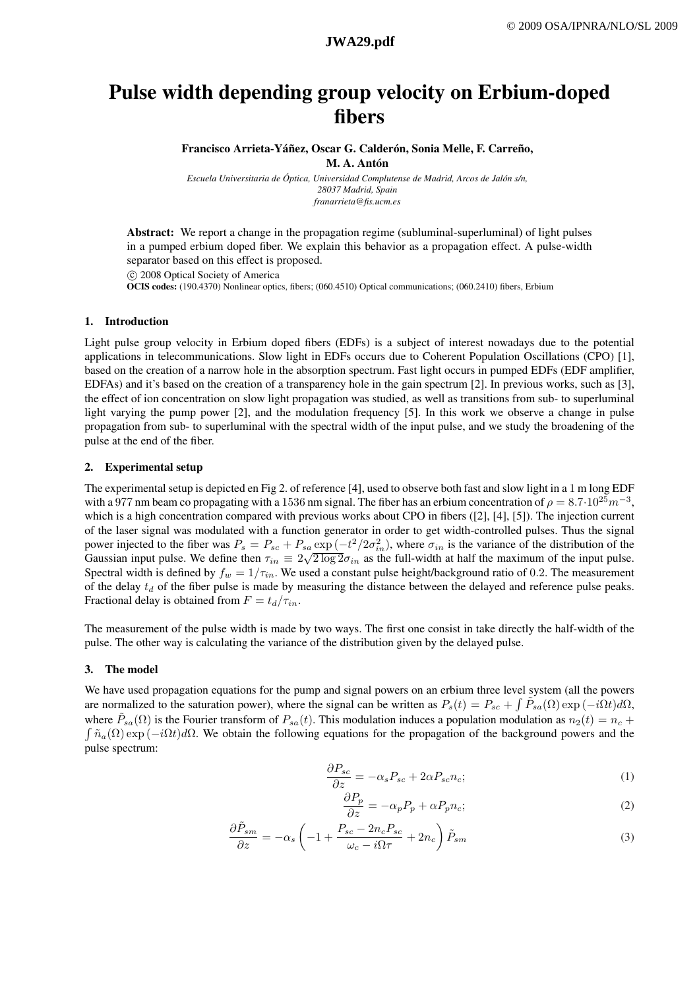# Pulse width depending group velocity on Erbium-doped fibers

Francisco Arrieta-Yáñez, Oscar G. Calderón, Sonia Melle, F. Carreño, M. A. Antón

*Escuela Universitaria de Óptica, Universidad Complutense de Madrid, Arcos de Jalón s/n, 28037 Madrid, Spain franarrieta@fis.ucm.es*

Abstract: We report a change in the propagation regime (subluminal-superluminal) of light pulses in a pumped erbium doped fiber. We explain this behavior as a propagation effect. A pulse-width separator based on this effect is proposed.

°c 2008 Optical Society of America OCIS codes: (190.4370) Nonlinear optics, fibers; (060.4510) Optical communications; (060.2410) fibers, Erbium

### 1. Introduction

Light pulse group velocity in Erbium doped fibers (EDFs) is a subject of interest nowadays due to the potential applications in telecommunications. Slow light in EDFs occurs due to Coherent Population Oscillations (CPO) [1], based on the creation of a narrow hole in the absorption spectrum. Fast light occurs in pumped EDFs (EDF amplifier, EDFAs) and it's based on the creation of a transparency hole in the gain spectrum [2]. In previous works, such as [3], the effect of ion concentration on slow light propagation was studied, as well as transitions from sub- to superluminal light varying the pump power [2], and the modulation frequency [5]. In this work we observe a change in pulse propagation from sub- to superluminal with the spectral width of the input pulse, and we study the broadening of the pulse at the end of the fiber.

### 2. Experimental setup

The experimental setup is depicted en Fig 2. of reference [4], used to observe both fast and slow light in a 1 m long EDF with a 977 nm beam co propagating with a 1536 nm signal. The fiber has an erbium concentration of  $\rho = 8.7 \cdot 10^{25} m^{-3}$ , which is a high concentration compared with previous works about CPO in fibers ([2], [4], [5]). The injection current of the laser signal was modulated with a function generator in order to get width-controlled pulses. Thus the signal power injected to the fiber was  $P_s = P_{sc} + P_{sa} \exp(-t^2/2\sigma_{in}^2)$ , where  $\sigma_{in}$  is the variance of the distribution of the Gaussian input pulse. We define then  $\tau_{in} \equiv 2\sqrt{2 \log 2} \sigma_{in}$  as the full-width at half the maximum of the input pulse. Spectral width is defined by  $f_w = 1/\tau_{in}$ . We used a constant pulse height/background ratio of 0.2. The measurement of the delay  $t_d$  of the fiber pulse is made by measuring the distance between the delayed and reference pulse peaks. Fractional delay is obtained from  $F = t_d/\tau_{in}$ .

The measurement of the pulse width is made by two ways. The first one consist in take directly the half-width of the pulse. The other way is calculating the variance of the distribution given by the delayed pulse.

### 3. The model

We have used propagation equations for the pump and signal powers on an erbium three level system (all the powers are normalized to the saturation power), where the signal can be written as  $P_s(t) = P_{sc} + \int \tilde{P}_{sa}(\Omega) \exp(-i\Omega t) d\Omega$ , where  $\tilde{P}_{sa}(\Omega)$  is the Fourier transform of  $P_{sa}(t)$ . This modulation induces a population modulation as  $n_2(t) = n_c +$  $\int \tilde{n}_a(\Omega) \exp(-i\Omega t) d\Omega$ . We obtain the following equations for the propagation of the background powers and the pulse spectrum:

$$
\frac{\partial P_{sc}}{\partial z} = -\alpha_s P_{sc} + 2\alpha P_{sc} n_c; \tag{1}
$$

$$
\frac{\partial P_p}{\partial z} = -\alpha_p P_p + \alpha P_p n_c; \tag{2}
$$

$$
\frac{\partial \tilde{P}_{sm}}{\partial z} = -\alpha_s \left( -1 + \frac{P_{sc} - 2n_c P_{sc}}{\omega_c - i\Omega \tau} + 2n_c \right) \tilde{P}_{sm} \tag{3}
$$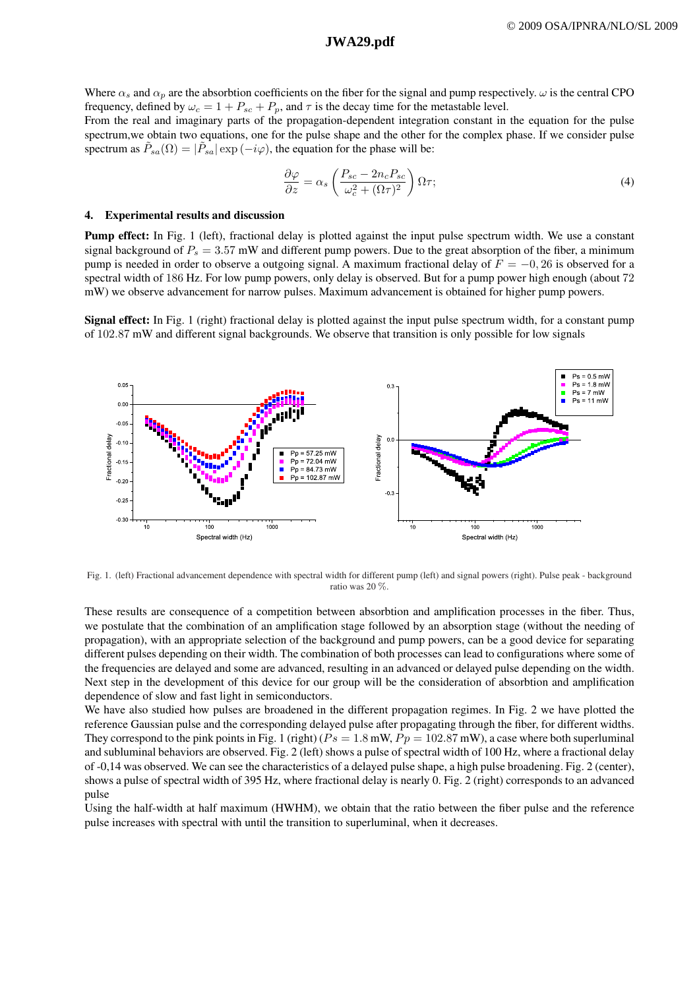## **a492\_1.pdf JWA29.pdf JWA29.pdf**

Where  $\alpha_s$  and  $\alpha_p$  are the absorbtion coefficients on the fiber for the signal and pump respectively.  $\omega$  is the central CPO frequency, defined by  $\omega_c = 1 + P_{sc} + P_p$ , and  $\tau$  is the decay time for the metastable level.

### From the real and imaginary parts of the propagation-dependent integration constant in the equation for the pulse spectrum,we obtain two equations, one for the pulse shape and the other for the complex phase. If we consider pulse spectrum as  $\tilde{P}_{sa}(\Omega) = |\tilde{P}_{sa}| \exp{(-i\varphi)}$ , the equation for the phase will be:

$$
\frac{\partial \varphi}{\partial z} = \alpha_s \left( \frac{P_{sc} - 2n_c P_{sc}}{\omega_c^2 + (\Omega \tau)^2} \right) \Omega \tau; \tag{4}
$$

#### 4. Experimental results and discussion

Pump effect: In Fig. 1 (left), fractional delay is plotted against the input pulse spectrum width. We use a constant signal background of  $P_s = 3.57$  mW and different pump powers. Due to the great absorption of the fiber, a minimum pump is needed in order to observe a outgoing signal. A maximum fractional delay of  $F = -0, 26$  is observed for a spectral width of 186 Hz. For low pump powers, only delay is observed. But for a pump power high enough (about 72 mW) we observe advancement for narrow pulses. Maximum advancement is obtained for higher pump powers.

Signal effect: In Fig. 1 (right) fractional delay is plotted against the input pulse spectrum width, for a constant pump of 102.87 mW and different signal backgrounds. We observe that transition is only possible for low signals



Fig. 1. (left) Fractional advancement dependence with spectral width for different pump (left) and signal powers (right). Pulse peak - background ratio was 20 %.

These results are consequence of a competition between absorbtion and amplification processes in the fiber. Thus, we postulate that the combination of an amplification stage followed by an absorption stage (without the needing of propagation), with an appropriate selection of the background and pump powers, can be a good device for separating different pulses depending on their width. The combination of both processes can lead to configurations where some of the frequencies are delayed and some are advanced, resulting in an advanced or delayed pulse depending on the width. Next step in the development of this device for our group will be the consideration of absorbtion and amplification dependence of slow and fast light in semiconductors.

We have also studied how pulses are broadened in the different propagation regimes. In Fig. 2 we have plotted the reference Gaussian pulse and the corresponding delayed pulse after propagating through the fiber, for different widths. They correspond to the pink points in Fig. 1 (right) ( $Ps = 1.8$  mW,  $Pp = 102.87$  mW), a case where both superluminal and subluminal behaviors are observed. Fig. 2 (left) shows a pulse of spectral width of 100 Hz, where a fractional delay of -0,14 was observed. We can see the characteristics of a delayed pulse shape, a high pulse broadening. Fig. 2 (center), shows a pulse of spectral width of 395 Hz, where fractional delay is nearly 0. Fig. 2 (right) corresponds to an advanced pulse

Using the half-width at half maximum (HWHM), we obtain that the ratio between the fiber pulse and the reference pulse increases with spectral with until the transition to superluminal, when it decreases.